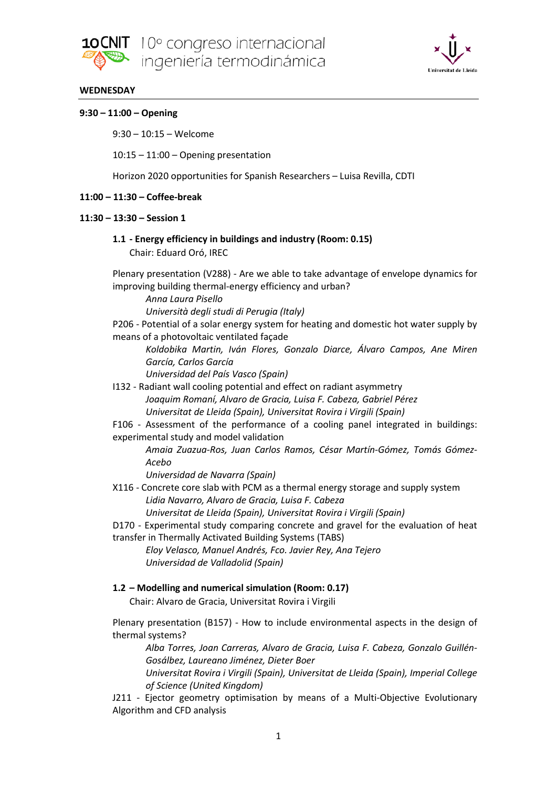



### **WEDNESDAY**

### **9:30 – 11:00 – Opening**

9:30 – 10:15 – Welcome

10:15 – 11:00 – Opening presentation

Horizon 2020 opportunities for Spanish Researchers – Luisa Revilla, CDTI

## **11:00 – 11:30 – Coffee-break**

## **11:30 – 13:30 – Session 1**

### **1.1 - Energy efficiency in buildings and industry (Room: 0.15)** Chair: Eduard Oró, IREC

Plenary presentation (V288) - Are we able to take advantage of envelope dynamics for improving building thermal-energy efficiency and urban?

*Anna Laura Pisello*

*Università degli studi di Perugia (Italy)*

P206 - Potential of a solar energy system for heating and domestic hot water supply by means of a photovoltaic ventilated façade

*Koldobika Martin, Iván Flores, Gonzalo Diarce, Álvaro Campos, Ane Miren García, Carlos García*

*Universidad del País Vasco (Spain)*

- I132 Radiant wall cooling potential and effect on radiant asymmetry *Joaquim Romaní, Alvaro de Gracia, Luisa F. Cabeza, Gabriel Pérez Universitat de Lleida (Spain), Universitat Rovira i Virgili (Spain)*
- F106 Assessment of the performance of a cooling panel integrated in buildings: experimental study and model validation

*Amaia Zuazua-Ros, Juan Carlos Ramos, César Martín-Gómez, Tomás Gómez-Acebo*

*Universidad de Navarra (Spain)*

X116 - Concrete core slab with PCM as a thermal energy storage and supply system *Lidia Navarro, Alvaro de Gracia, Luisa F. Cabeza Universitat de Lleida (Spain), Universitat Rovira i Virgili (Spain)*

D170 - Experimental study comparing concrete and gravel for the evaluation of heat transfer in Thermally Activated Building Systems (TABS)

*Eloy Velasco, Manuel Andrés, Fco. Javier Rey, Ana Tejero Universidad de Valladolid (Spain)*

# **1.2 – Modelling and numerical simulation (Room: 0.17)**

Chair: Alvaro de Gracia, Universitat Rovira i Virgili

Plenary presentation (B157) - How to include environmental aspects in the design of thermal systems?

*Alba Torres, Joan Carreras, Alvaro de Gracia, Luisa F. Cabeza, Gonzalo Guillén-Gosálbez, Laureano Jiménez, Dieter Boer*

*Universitat Rovira i Virgili (Spain), Universitat de Lleida (Spain), Imperial College of Science (United Kingdom)*

J211 - Ejector geometry optimisation by means of a Multi-Objective Evolutionary Algorithm and CFD analysis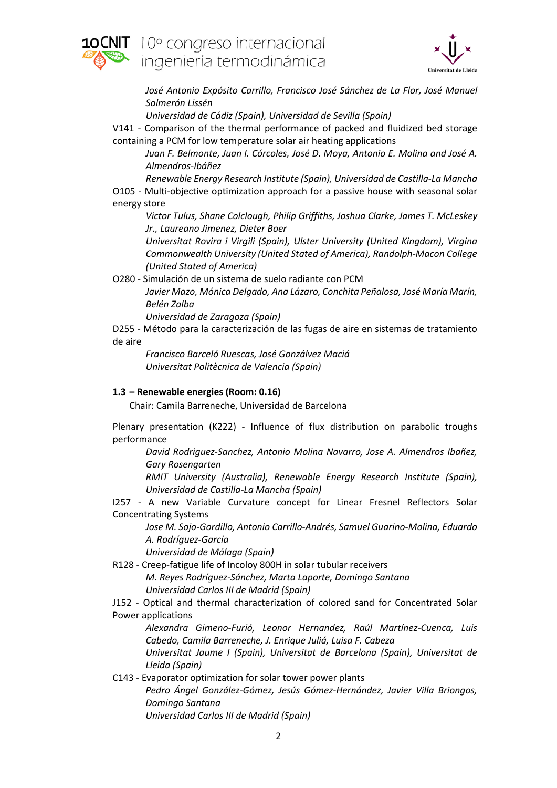



*José Antonio Expósito Carrillo, Francisco José Sánchez de La Flor, José Manuel Salmerón Lissén*

*Universidad de Cádiz (Spain), Universidad de Sevilla (Spain)*

V141 - Comparison of the thermal performance of packed and fluidized bed storage containing a PCM for low temperature solar air heating applications

*Juan F. Belmonte, Juan I. Córcoles, José D. Moya, Antonio E. Molina and José A. Almendros-Ibáñez*

*Renewable Energy Research Institute (Spain), Universidad de Castilla-La Mancha* O105 - Multi-objective optimization approach for a passive house with seasonal solar energy store

*Victor Tulus, Shane Colclough, Philip Griffiths, Joshua Clarke, James T. McLeskey Jr., Laureano Jimenez, Dieter Boer*

*Universitat Rovira i Virgili (Spain), Ulster University (United Kingdom), Virgina Commonwealth University (United Stated of America), Randolph-Macon College (United Stated of America)*

O280 - Simulación de un sistema de suelo radiante con PCM

*Javier Mazo, Mónica Delgado, Ana Lázaro, Conchita Peñalosa, José María Marín, Belén Zalba*

*Universidad de Zaragoza (Spain)*

D255 - Método para la caracterización de las fugas de aire en sistemas de tratamiento de aire

*Francisco Barceló Ruescas, José Gonzálvez Maciá Universitat Politècnica de Valencia (Spain)*

# **1.3 – Renewable energies (Room: 0.16)**

Chair: Camila Barreneche, Universidad de Barcelona

Plenary presentation (K222) - Influence of flux distribution on parabolic troughs performance

*David Rodriguez-Sanchez, Antonio Molina Navarro, Jose A. Almendros Ibañez, Gary Rosengarten*

*RMIT University (Australia), Renewable Energy Research Institute (Spain), Universidad de Castilla-La Mancha (Spain)*

I257 - A new Variable Curvature concept for Linear Fresnel Reflectors Solar Concentrating Systems

*Jose M. Sojo-Gordillo, Antonio Carrillo-Andrés, Samuel Guarino-Molina, Eduardo A. Rodríguez-García*

*Universidad de Málaga (Spain)*

R128 - Creep-fatigue life of Incoloy 800H in solar tubular receivers

*M. Reyes Rodríguez-Sánchez, Marta Laporte, Domingo Santana Universidad Carlos III de Madrid (Spain)*

J152 - Optical and thermal characterization of colored sand for Concentrated Solar Power applications

*Alexandra Gimeno-Furió, Leonor Hernandez, Raúl Martínez-Cuenca, Luis Cabedo, Camila Barreneche, J. Enrique Juliá, Luisa F. Cabeza*

*Universitat Jaume I (Spain), Universitat de Barcelona (Spain), Universitat de Lleida (Spain)*

C143 - Evaporator optimization for solar tower power plants

*Pedro Ángel González-Gómez, Jesús Gómez-Hernández, Javier Villa Briongos, Domingo Santana*

*Universidad Carlos III de Madrid (Spain)*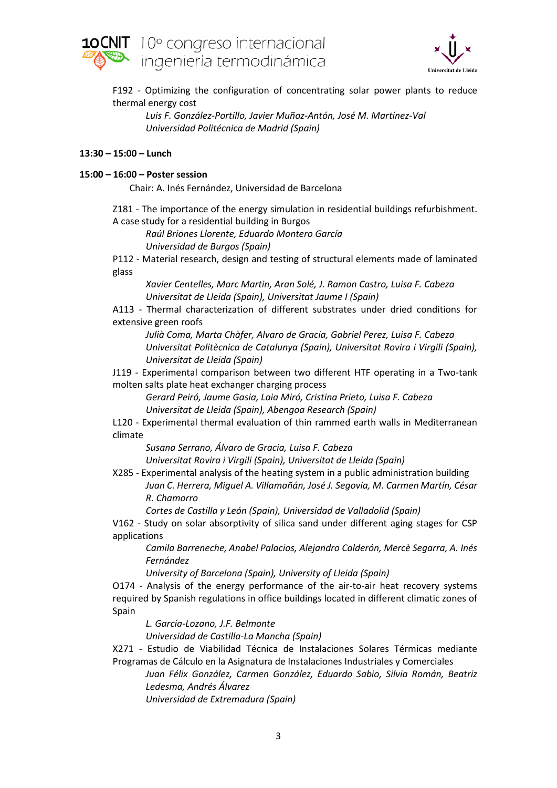



F192 - Optimizing the configuration of concentrating solar power plants to reduce thermal energy cost

*Luis F. González-Portillo, Javier Muñoz-Antón, José M. Martínez-Val Universidad Politécnica de Madrid (Spain)*

### **13:30 – 15:00 – Lunch**

### **15:00 – 16:00 – Poster session**

Chair: A. Inés Fernández, Universidad de Barcelona

Z181 - The importance of the energy simulation in residential buildings refurbishment. A case study for a residential building in Burgos

*Raúl Briones Llorente, Eduardo Montero García Universidad de Burgos (Spain)*

P112 - Material research, design and testing of structural elements made of laminated glass

*Xavier Centelles, Marc Martin, Aran Solé, J. Ramon Castro, Luisa F. Cabeza Universitat de Lleida (Spain), Universitat Jaume I (Spain)*

A113 - Thermal characterization of different substrates under dried conditions for extensive green roofs

*Julià Coma, Marta Chàfer, Alvaro de Gracia, Gabriel Perez, Luisa F. Cabeza Universitat Politècnica de Catalunya (Spain), Universitat Rovira i Virgili (Spain), Universitat de Lleida (Spain)*

J119 - Experimental comparison between two different HTF operating in a Two-tank molten salts plate heat exchanger charging process

*Gerard Peiró, Jaume Gasia, Laia Miró, Cristina Prieto, Luisa F. Cabeza Universitat de Lleida (Spain), Abengoa Research (Spain)*

L120 - Experimental thermal evaluation of thin rammed earth walls in Mediterranean climate

*Susana Serrano, Álvaro de Gracia, Luisa F. Cabeza*

*Universitat Rovira i Virgili (Spain), Universitat de Lleida (Spain)*

X285 - Experimental analysis of the heating system in a public administration building *Juan C. Herrera, Miguel A. Villamañán, José J. Segovia, M. Carmen Martín, César R. Chamorro*

*Cortes de Castilla y León (Spain), Universidad de Valladolid (Spain)*

V162 - Study on solar absorptivity of silica sand under different aging stages for CSP applications

*Camila Barreneche, Anabel Palacios, Alejandro Calderón, Mercè Segarra, A. Inés Fernández*

*University of Barcelona (Spain), University of Lleida (Spain)*

O174 - Analysis of the energy performance of the air-to-air heat recovery systems required by Spanish regulations in office buildings located in different climatic zones of Spain

*L. García-Lozano, J.F. Belmonte*

*Universidad de Castilla-La Mancha (Spain)*

X271 - Estudio de Viabilidad Técnica de Instalaciones Solares Térmicas mediante Programas de Cálculo en la Asignatura de Instalaciones Industriales y Comerciales

*Juan Félix González, Carmen González, Eduardo Sabio, Silvia Román, Beatriz Ledesma, Andrés Álvarez*

*Universidad de Extremadura (Spain)*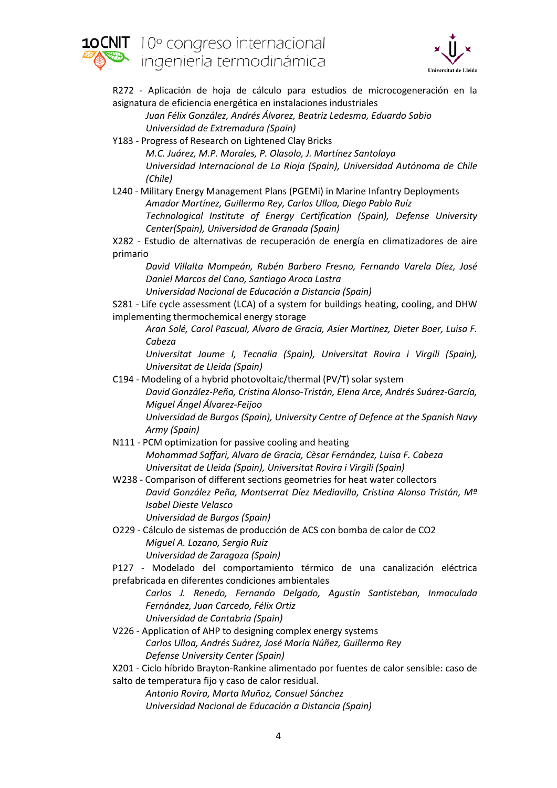



R272 - Aplicación de hoja de cálculo para estudios de microcogeneración en la asignatura de eficiencia energética en instalaciones industriales

*Juan Félix González, Andrés Álvarez, Beatriz Ledesma, Eduardo Sabio Universidad de Extremadura (Spain)*

Y183 - Progress of Research on Lightened Clay Bricks *M.C. Juárez, M.P. Morales, P. Olasolo, J. Martínez Santolaya Universidad Internacional de La Rioja (Spain), Universidad Autónoma de Chile (Chile)*

L240 - Military Energy Management Plans (PGEMi) in Marine Infantry Deployments *Amador Martínez, Guillermo Rey, Carlos Ulloa, Diego Pablo Ruíz Technological Institute of Energy Certification (Spain), Defense University Center(Spain), Universidad de Granada (Spain)*

X282 - Estudio de alternativas de recuperación de energía en climatizadores de aire primario

*David Villalta Mompeán, Rubén Barbero Fresno, Fernando Varela Díez, José Daniel Marcos del Cano, Santiago Aroca Lastra*

*Universidad Nacional de Educación a Distancia (Spain)*

S281 - Life cycle assessment (LCA) of a system for buildings heating, cooling, and DHW implementing thermochemical energy storage

*Aran Solé, Carol Pascual, Alvaro de Gracia, Asier Martínez, Dieter Boer, Luisa F. Cabeza*

*Universitat Jaume I, Tecnalia (Spain), Universitat Rovira i Virgili (Spain), Universitat de Lleida (Spain)*

C194 - Modeling of a hybrid photovoltaic/thermal (PV/T) solar system *David González-Peña, Cristina Alonso-Tristán, Elena Arce, Andrés Suárez-García, Miguel Ángel Álvarez-Feijoo Universidad de Burgos (Spain), University Centre of Defence at the Spanish Navy Army (Spain)*

- N111 PCM optimization for passive cooling and heating *Mohammad Saffari, Alvaro de Gracia, Cèsar Fernández, Luisa F. Cabeza Universitat de Lleida (Spain), Universitat Rovira i Virgili (Spain)*
- W238 Comparison of different sections geometries for heat water collectors *David González Peña, Montserrat Díez Mediavilla, Cristina Alonso Tristán, Mª Isabel Dieste Velasco Universidad de Burgos (Spain)*

O229 - Cálculo de sistemas de producción de ACS con bomba de calor de CO2 *Miguel A. Lozano, Sergio Ruiz Universidad de Zaragoza (Spain)*

P127 - Modelado del comportamiento térmico de una canalización eléctrica prefabricada en diferentes condiciones ambientales

*Carlos J. Renedo, Fernando Delgado, Agustín Santisteban, Inmaculada Fernández, Juan Carcedo, Félix Ortiz Universidad de Cantabria (Spain)*

V226 - Application of AHP to designing complex energy systems *Carlos Ulloa, Andrés Suárez, José María Núñez, Guillermo Rey Defense University Center (Spain)*

X201 - Ciclo híbrido Brayton-Rankine alimentado por fuentes de calor sensible: caso de salto de temperatura fijo y caso de calor residual.

*Antonio Rovira, Marta Muñoz, Consuel Sánchez Universidad Nacional de Educación a Distancia (Spain)*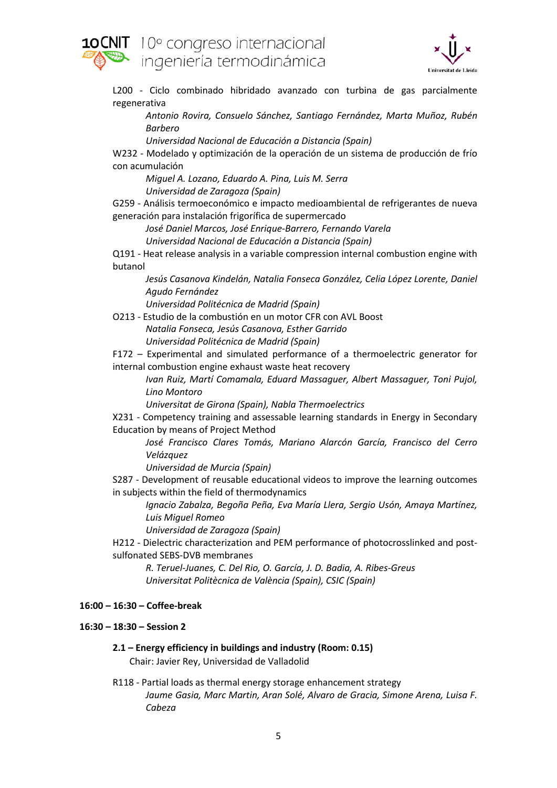



L200 - Ciclo combinado hibridado avanzado con turbina de gas parcialmente regenerativa

*Antonio Rovira, Consuelo Sánchez, Santiago Fernández, Marta Muñoz, Rubén Barbero*

*Universidad Nacional de Educación a Distancia (Spain)*

W232 - Modelado y optimización de la operación de un sistema de producción de frío con acumulación

*Miguel A. Lozano, Eduardo A. Pina, Luis M. Serra Universidad de Zaragoza (Spain)*

G259 - Análisis termoeconómico e impacto medioambiental de refrigerantes de nueva generación para instalación frigorífica de supermercado

*José Daniel Marcos, José Enrique-Barrero, Fernando Varela*

*Universidad Nacional de Educación a Distancia (Spain)*

Q191 - Heat release analysis in a variable compression internal combustion engine with butanol

*Jesús Casanova Kindelán, Natalia Fonseca González, Celia López Lorente, Daniel Agudo Fernández*

*Universidad Politécnica de Madrid (Spain)*

O213 - Estudio de la combustión en un motor CFR con AVL Boost *Natalia Fonseca, Jesús Casanova, Esther Garrido*

*Universidad Politécnica de Madrid (Spain)*

F172 – Experimental and simulated performance of a thermoelectric generator for internal combustion engine exhaust waste heat recovery

*Ivan Ruiz, Martí Comamala, Eduard Massaguer, Albert Massaguer, Toni Pujol, Lino Montoro*

*Universitat de Girona (Spain), Nabla Thermoelectrics*

X231 - Competency training and assessable learning standards in Energy in Secondary Education by means of Project Method

*José Francisco Clares Tomás, Mariano Alarcón García, Francisco del Cerro Velázquez*

*Universidad de Murcia (Spain)*

S287 - Development of reusable educational videos to improve the learning outcomes in subjects within the field of thermodynamics

*Ignacio Zabalza, Begoña Peña, Eva María Llera, Sergio Usón, Amaya Martínez, Luis Miguel Romeo*

*Universidad de Zaragoza (Spain)*

H212 - Dielectric characterization and PEM performance of photocrosslinked and postsulfonated SEBS-DVB membranes

*R. Teruel-Juanes, C. Del Rio, O. García, J. D. Badia, A. Ribes-Greus Universitat Politècnica de València (Spain), CSIC (Spain)*

### **16:00 – 16:30 – Coffee-break**

### **16:30 – 18:30 – Session 2**

- **2.1 – Energy efficiency in buildings and industry (Room: 0.15)** Chair: Javier Rey, Universidad de Valladolid
- R118 Partial loads as thermal energy storage enhancement strategy *Jaume Gasia, Marc Martin, Aran Solé, Alvaro de Gracia, Simone Arena, Luisa F. Cabeza*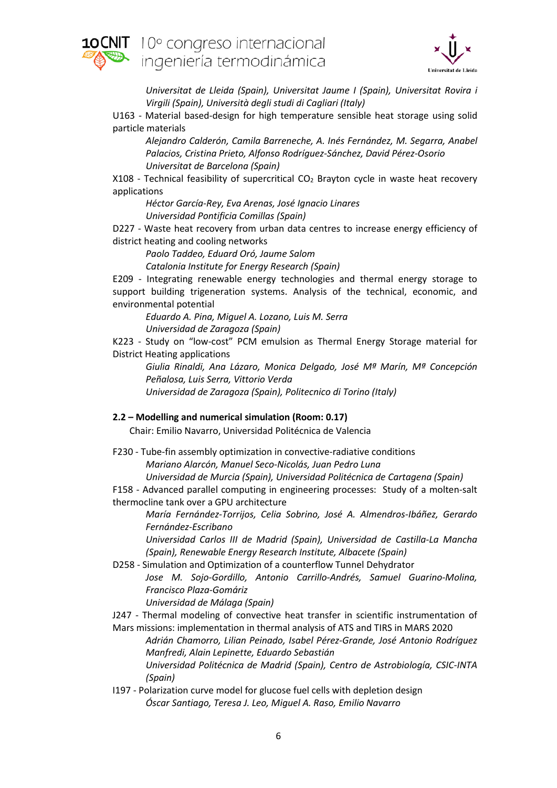



*Universitat de Lleida (Spain), Universitat Jaume I (Spain), Universitat Rovira i Virgili (Spain), Università degli studi di Cagliari (Italy)*

U163 - Material based-design for high temperature sensible heat storage using solid particle materials

*Alejandro Calderón, Camila Barreneche, A. Inés Fernández, M. Segarra, Anabel Palacios, Cristina Prieto, Alfonso Rodríguez-Sánchez, David Pérez-Osorio Universitat de Barcelona (Spain)*

X108 - Technical feasibility of supercritical  $CO<sub>2</sub>$  Brayton cycle in waste heat recovery applications

*Héctor García-Rey, Eva Arenas, José Ignacio Linares*

*Universidad Pontificia Comillas (Spain)*

D227 - Waste heat recovery from urban data centres to increase energy efficiency of district heating and cooling networks

*Paolo Taddeo, Eduard Oró, Jaume Salom*

*Catalonia Institute for Energy Research (Spain)*

E209 - Integrating renewable energy technologies and thermal energy storage to support building trigeneration systems. Analysis of the technical, economic, and environmental potential

*Eduardo A. Pina, Miguel A. Lozano, Luis M. Serra Universidad de Zaragoza (Spain)*

K223 - Study on "low-cost" PCM emulsion as Thermal Energy Storage material for District Heating applications

*Giulia Rinaldi, Ana Lázaro, Monica Delgado, José Mª Marín, Mª Concepción Peñalosa, Luis Serra, Vittorio Verda Universidad de Zaragoza (Spain), Politecnico di Torino (Italy)*

### **2.2 – Modelling and numerical simulation (Room: 0.17)**

Chair: Emilio Navarro, Universidad Politécnica de Valencia

- F230 Tube-fin assembly optimization in convective-radiative conditions *Mariano Alarcón, Manuel Seco-Nicolás, Juan Pedro Luna Universidad de Murcia (Spain), Universidad Politécnica de Cartagena (Spain)*
- F158 Advanced parallel computing in engineering processes: Study of a molten-salt thermocline tank over a GPU architecture

*María Fernández-Torrijos, Celia Sobrino, José A. Almendros-Ibáñez, Gerardo Fernández-Escribano*

*Universidad Carlos III de Madrid (Spain), Universidad de Castilla-La Mancha (Spain), Renewable Energy Research Institute, Albacete (Spain)*

D258 - Simulation and Optimization of a counterflow Tunnel Dehydrator *Jose M. Sojo-Gordillo, Antonio Carrillo-Andrés, Samuel Guarino-Molina, Francisco Plaza-Gomáriz*

*Universidad de Málaga (Spain)*

J247 - Thermal modeling of convective heat transfer in scientific instrumentation of Mars missions: implementation in thermal analysis of ATS and TIRS in MARS 2020

*Adrián Chamorro, Lilian Peinado, Isabel Pérez-Grande, José Antonio Rodríguez Manfredi, Alain Lepinette, Eduardo Sebastián*

*Universidad Politécnica de Madrid (Spain), Centro de Astrobiología, CSIC-INTA (Spain)*

I197 - Polarization curve model for glucose fuel cells with depletion design *Óscar Santiago, Teresa J. Leo, Miguel A. Raso, Emilio Navarro*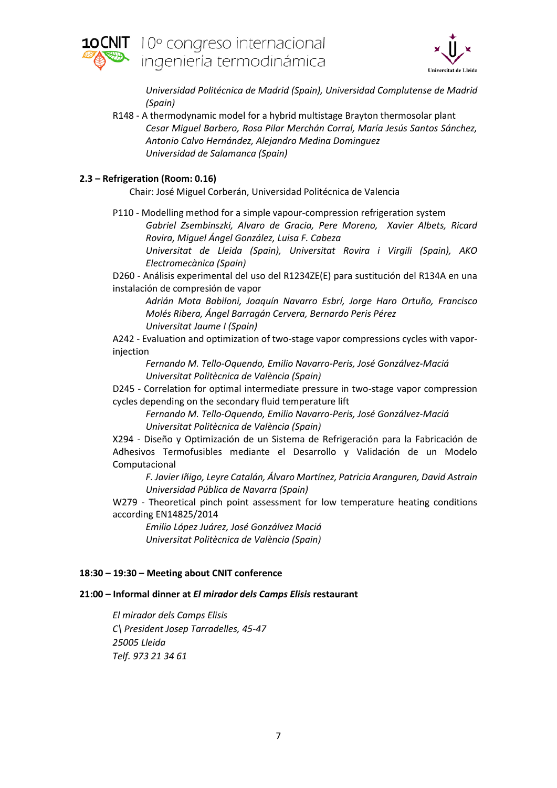



*Universidad Politécnica de Madrid (Spain), Universidad Complutense de Madrid (Spain)*

R148 - A thermodynamic model for a hybrid multistage Brayton thermosolar plant *Cesar Miguel Barbero, Rosa Pilar Merchán Corral, María Jesús Santos Sánchez, Antonio Calvo Hernández, Alejandro Medina Dominguez Universidad de Salamanca (Spain)*

## **2.3 – Refrigeration (Room: 0.16)**

Chair: José Miguel Corberán, Universidad Politécnica de Valencia

P110 - Modelling method for a simple vapour-compression refrigeration system

*Gabriel Zsembinszki, Alvaro de Gracia, Pere Moreno, Xavier Albets, Ricard Rovira, Miguel Ángel González, Luisa F. Cabeza*

*Universitat de Lleida (Spain), Universitat Rovira i Virgili (Spain), AKO Electromecànica (Spain)*

D260 - Análisis experimental del uso del R1234ZE(E) para sustitución del R134A en una instalación de compresión de vapor

*Adrián Mota Babiloni, Joaquín Navarro Esbrí, Jorge Haro Ortuño, Francisco Molés Ribera, Ángel Barragán Cervera, Bernardo Peris Pérez Universitat Jaume I (Spain)*

A242 - Evaluation and optimization of two-stage vapor compressions cycles with vaporinjection

*Fernando M. Tello-Oquendo, Emilio Navarro-Peris, José Gonzálvez-Maciá Universitat Politècnica de València (Spain)*

D245 - Correlation for optimal intermediate pressure in two-stage vapor compression cycles depending on the secondary fluid temperature lift

*Fernando M. Tello-Oquendo, Emilio Navarro-Peris, José Gonzálvez-Maciá Universitat Politècnica de València (Spain)*

X294 - Diseño y Optimización de un Sistema de Refrigeración para la Fabricación de Adhesivos Termofusibles mediante el Desarrollo y Validación de un Modelo Computacional

*F. Javier Iñigo, Leyre Catalán, Álvaro Martínez, Patricia Aranguren, David Astrain Universidad Pública de Navarra (Spain)*

W279 - Theoretical pinch point assessment for low temperature heating conditions according EN14825/2014

*Emilio López Juárez, José Gonzálvez Maciá Universitat Politècnica de València (Spain)*

### **18:30 – 19:30 – Meeting about CNIT conference**

### **21:00 – Informal dinner at** *El mirador dels Camps Elisis* **restaurant**

*El mirador dels Camps Elisis C\ President Josep Tarradelles, 45-47 25005 Lleida Telf. 973 21 34 61*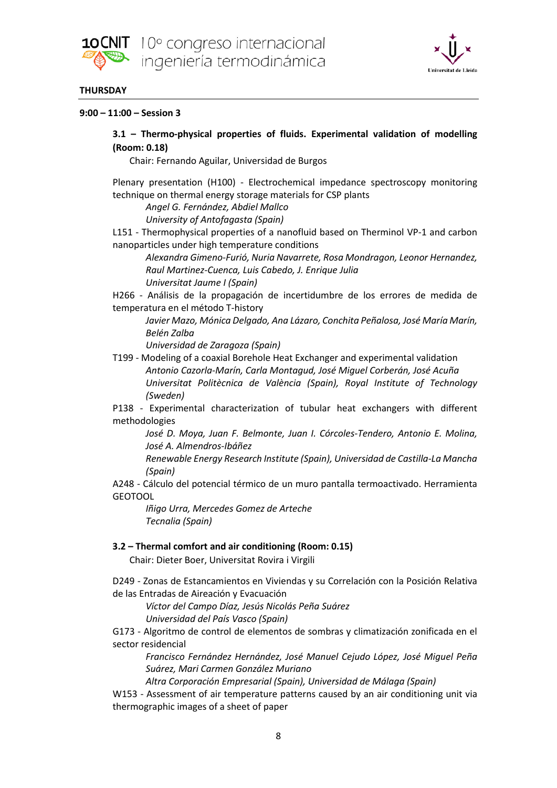



### **THURSDAY**

### **9:00 – 11:00 – Session 3**

# **3.1 – Thermo-physical properties of fluids. Experimental validation of modelling (Room: 0.18)**

Chair: Fernando Aguilar, Universidad de Burgos

Plenary presentation (H100) - Electrochemical impedance spectroscopy monitoring technique on thermal energy storage materials for CSP plants

*Angel G. Fernández, Abdiel Mallco University of Antofagasta (Spain)*

L151 - Thermophysical properties of a nanofluid based on Therminol VP-1 and carbon nanoparticles under high temperature conditions

*Alexandra Gimeno-Furió, Nuria Navarrete, Rosa Mondragon, Leonor Hernandez, Raul Martinez-Cuenca, Luis Cabedo, J. Enrique Julia Universitat Jaume I (Spain)*

H266 - Análisis de la propagación de incertidumbre de los errores de medida de temperatura en el método T-history

*Javier Mazo, Mónica Delgado, Ana Lázaro, Conchita Peñalosa, José María Marín, Belén Zalba*

*Universidad de Zaragoza (Spain)*

T199 - Modeling of a coaxial Borehole Heat Exchanger and experimental validation *Antonio Cazorla-Marín, Carla Montagud, José Miguel Corberán, José Acuña Universitat Politècnica de València (Spain), Royal Institute of Technology (Sweden)*

P138 - Experimental characterization of tubular heat exchangers with different methodologies

*José D. Moya, Juan F. Belmonte, Juan I. Córcoles-Tendero, Antonio E. Molina, José A. Almendros-Ibáñez*

*Renewable Energy Research Institute (Spain), Universidad de Castilla-La Mancha (Spain)*

A248 - Cálculo del potencial térmico de un muro pantalla termoactivado. Herramienta GEOTOOL

*Iñigo Urra, Mercedes Gomez de Arteche Tecnalia (Spain)*

### **3.2 – Thermal comfort and air conditioning (Room: 0.15)**

Chair: Dieter Boer, Universitat Rovira i Virgili

D249 - Zonas de Estancamientos en Viviendas y su Correlación con la Posición Relativa de las Entradas de Aireación y Evacuación

*Víctor del Campo Díaz, Jesús Nicolás Peña Suárez*

*Universidad del País Vasco (Spain)*

G173 - Algoritmo de control de elementos de sombras y climatización zonificada en el sector residencial

*Francisco Fernández Hernández, José Manuel Cejudo López, José Miguel Peña Suárez, Mari Carmen González Muriano*

*Altra Corporación Empresarial (Spain), Universidad de Málaga (Spain)*

W153 - Assessment of air temperature patterns caused by an air conditioning unit via thermographic images of a sheet of paper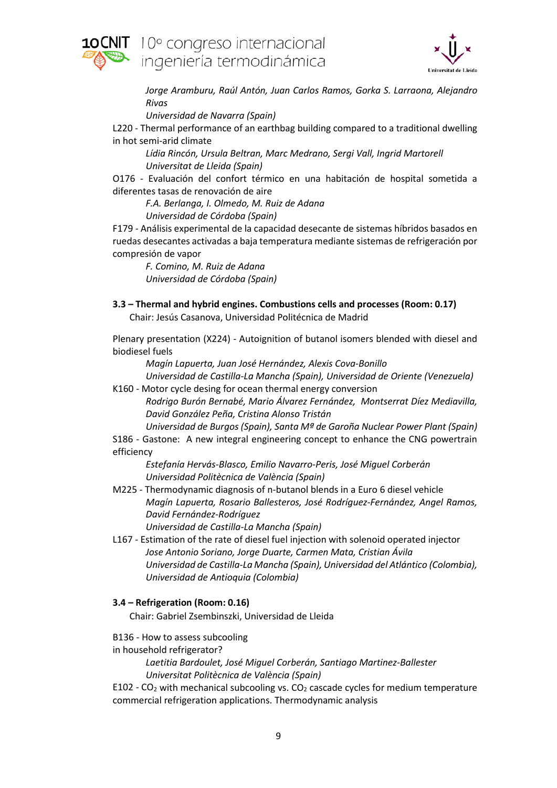



*Jorge Aramburu, Raúl Antón, Juan Carlos Ramos, Gorka S. Larraona, Alejandro Rivas*

*Universidad de Navarra (Spain)*

L220 - Thermal performance of an earthbag building compared to a traditional dwelling in hot semi-arid climate

*Lídia Rincón, Ursula Beltran, Marc Medrano, Sergi Vall, Ingrid Martorell Universitat de Lleida (Spain)*

O176 - Evaluación del confort térmico en una habitación de hospital sometida a diferentes tasas de renovación de aire

*F.A. Berlanga, I. Olmedo, M. Ruiz de Adana Universidad de Córdoba (Spain)*

F179 - Análisis experimental de la capacidad desecante de sistemas híbridos basados en ruedas desecantes activadas a baja temperatura mediante sistemas de refrigeración por compresión de vapor

*F. Comino, M. Ruiz de Adana Universidad de Córdoba (Spain)*

## **3.3 – Thermal and hybrid engines. Combustions cells and processes (Room: 0.17)**

Chair: Jesús Casanova, Universidad Politécnica de Madrid

Plenary presentation (X224) - Autoignition of butanol isomers blended with diesel and biodiesel fuels

*Magín Lapuerta, Juan José Hernández, Alexis Cova-Bonillo*

*Universidad de Castilla-La Mancha (Spain), Universidad de Oriente (Venezuela)* K160 - Motor cycle desing for ocean thermal energy conversion

*Rodrigo Burón Bernabé, Mario Álvarez Fernández, Montserrat Díez Mediavilla, David González Peña, Cristina Alonso Tristán*

*Universidad de Burgos (Spain), Santa Mª de Garoña Nuclear Power Plant (Spain)* S186 - Gastone: A new integral engineering concept to enhance the CNG powertrain efficiency

*Estefanía Hervás-Blasco, Emilio Navarro-Peris, José Miguel Corberán Universidad Politècnica de València (Spain)*

- M225 Thermodynamic diagnosis of n-butanol blends in a Euro 6 diesel vehicle *Magín Lapuerta, Rosario Ballesteros, José Rodríguez-Fernández, Angel Ramos, David Fernández-Rodríguez Universidad de Castilla-La Mancha (Spain)*
- L167 Estimation of the rate of diesel fuel injection with solenoid operated injector *Jose Antonio Soriano, Jorge Duarte, Carmen Mata, Cristian Ávila*

*Universidad de Castilla-La Mancha (Spain), Universidad del Atlántico (Colombia), Universidad de Antioquia (Colombia)*

### **3.4 – Refrigeration (Room: 0.16)**

Chair: Gabriel Zsembinszki, Universidad de Lleida

- B136 How to assess subcooling
- in household refrigerator?

*Laetitia Bardoulet, José Miguel Corberán, Santiago Martinez-Ballester Universitat Politècnica de València (Spain)*

E102 -  $CO<sub>2</sub>$  with mechanical subcooling vs.  $CO<sub>2</sub>$  cascade cycles for medium temperature commercial refrigeration applications. Thermodynamic analysis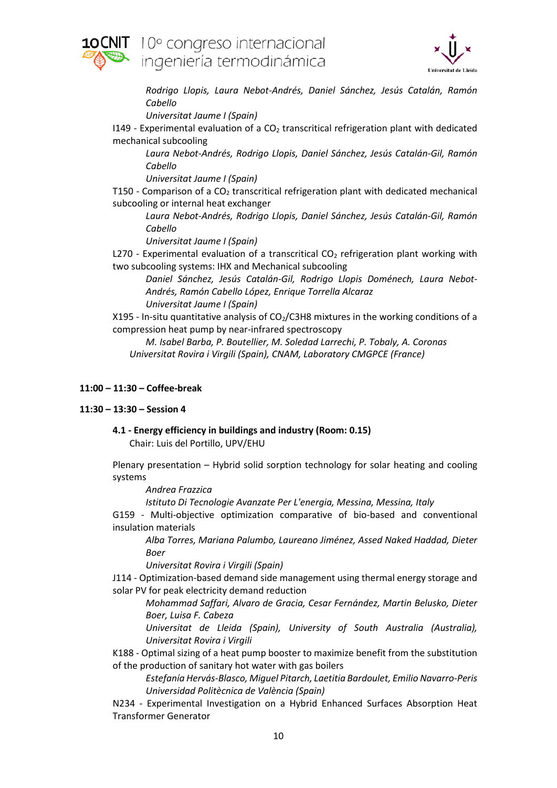



*Rodrigo Llopis, Laura Nebot-Andrés, Daniel Sánchez, Jesús Catalán, Ramón Cabello*

*Universitat Jaume I (Spain)*

 $I149$  - Experimental evaluation of a  $CO<sub>2</sub>$  transcritical refrigeration plant with dedicated mechanical subcooling

*Laura Nebot-Andrés, Rodrigo Llopis, Daniel Sánchez, Jesús Catalán-Gil, Ramón Cabello*

*Universitat Jaume I (Spain)*

T150 - Comparison of a  $CO<sub>2</sub>$  transcritical refrigeration plant with dedicated mechanical subcooling or internal heat exchanger

*Laura Nebot-Andrés, Rodrigo Llopis, Daniel Sánchez, Jesús Catalán-Gil, Ramón Cabello*

*Universitat Jaume I (Spain)*

L270 - Experimental evaluation of a transcritical  $CO<sub>2</sub>$  refrigeration plant working with two subcooling systems: IHX and Mechanical subcooling

*Daniel Sánchez, Jesús Catalán-Gil, Rodrigo Llopis Doménech, Laura Nebot-Andrés, Ramón Cabello López, Enrique Torrella Alcaraz Universitat Jaume I (Spain)*

X195 - In-situ quantitative analysis of  $CO<sub>2</sub>/C3H8$  mixtures in the working conditions of a compression heat pump by near-infrared spectroscopy

*M. Isabel Barba, P. Boutellier, M. Soledad Larrechi, P. Tobaly, A. Coronas Universitat Rovira i Virgili (Spain), CNAM, Laboratory CMGPCE (France)*

### **11:00 – 11:30 – Coffee-break**

### **11:30 – 13:30 – Session 4**

# **4.1 - Energy efficiency in buildings and industry (Room: 0.15)**

Chair: Luis del Portillo, UPV/EHU

Plenary presentation – Hybrid solid sorption technology for solar heating and cooling systems

*Andrea Frazzica*

*Istituto Di Tecnologie Avanzate Per L'energia, Messina, Messina, Italy*

G159 - Multi-objective optimization comparative of bio-based and conventional insulation materials

*Alba Torres, Mariana Palumbo, Laureano Jiménez, Assed Naked Haddad, Dieter Boer*

*Universitat Rovira i Virgili (Spain)*

J114 - Optimization-based demand side management using thermal energy storage and solar PV for peak electricity demand reduction

*Mohammad Saffari, Alvaro de Gracia, Cesar Fernández, Martin Belusko, Dieter Boer, Luisa F. Cabeza*

*Universitat de Lleida (Spain), University of South Australia (Australia), Universitat Rovira i Virgili*

K188 - Optimal sizing of a heat pump booster to maximize benefit from the substitution of the production of sanitary hot water with gas boilers

*Estefanía Hervás-Blasco, Miguel Pitarch, Laetitia Bardoulet, Emilio Navarro-Peris Universidad Politècnica de València (Spain)*

N234 - Experimental Investigation on a Hybrid Enhanced Surfaces Absorption Heat Transformer Generator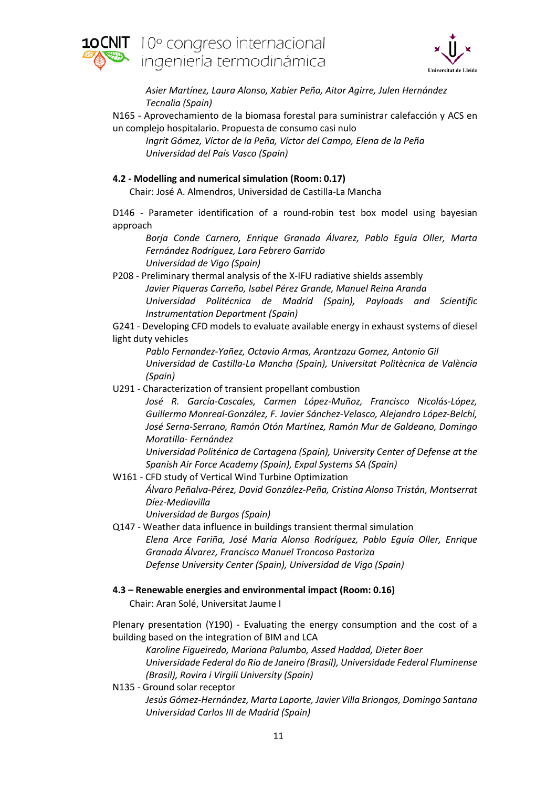



*Asier Martínez, Laura Alonso, Xabier Peña, Aitor Agirre, Julen Hernández Tecnalia (Spain)*

N165 - Aprovechamiento de la biomasa forestal para suministrar calefacción y ACS en un complejo hospitalario. Propuesta de consumo casi nulo

*Ingrit Gómez, Víctor de la Peña, Víctor del Campo, Elena de la Peña Universidad del País Vasco (Spain)*

## **4.2 - Modelling and numerical simulation (Room: 0.17)**

Chair: José A. Almendros, Universidad de Castilla-La Mancha

D146 - Parameter identification of a round-robin test box model using bayesian approach

*Borja Conde Carnero, Enrique Granada Álvarez, Pablo Eguía Oller, Marta Fernández Rodríguez, Lara Febrero Garrido Universidad de Vigo (Spain)*

P208 - Preliminary thermal analysis of the X-IFU radiative shields assembly *Javier Piqueras Carreño, Isabel Pérez Grande, Manuel Reina Aranda Universidad Politécnica de Madrid (Spain), Payloads and Scientific Instrumentation Department (Spain)*

G241 - Developing CFD models to evaluate available energy in exhaust systems of diesel light duty vehicles

*Pablo Fernandez-Yañez, Octavio Armas, Arantzazu Gomez, Antonio Gil Universidad de Castilla-La Mancha (Spain), Universitat Politècnica de València (Spain)*

U291 - Characterization of transient propellant combustion *José R. García-Cascales, Carmen López-Muñoz, Francisco Nicolás-López, Guillermo Monreal-González, F. Javier Sánchez-Velasco, Alejandro López-Belchí, José Serna-Serrano, Ramón Otón Martínez, Ramón Mur de Galdeano, Domingo Moratilla- Fernández*

*Universidad Politénica de Cartagena (Spain), University Center of Defense at the Spanish Air Force Academy (Spain), Expal Systems SA (Spain)*

- W161 CFD study of Vertical Wind Turbine Optimization *Álvaro Peñalva-Pérez, David González-Peña, Cristina Alonso Tristán, Montserrat Díez-Mediavilla Universidad de Burgos (Spain)*
- Q147 Weather data influence in buildings transient thermal simulation *Elena Arce Fariña, José María Alonso Rodríguez, Pablo Eguía Oller, Enrique Granada Álvarez, Francisco Manuel Troncoso Pastoriza Defense University Center (Spain), Universidad de Vigo (Spain)*
- **4.3 – Renewable energies and environmental impact (Room: 0.16)**

Chair: Aran Solé, Universitat Jaume I

Plenary presentation (Y190) - Evaluating the energy consumption and the cost of a building based on the integration of BIM and LCA

*Karoline Figueiredo, Mariana Palumbo, Assed Haddad, Dieter Boer Universidade Federal do Rio de Janeiro (Brasil), Universidade Federal Fluminense (Brasil), Rovira i Virgili University (Spain)*

N135 - Ground solar receptor *Jesús Gómez-Hernández, Marta Laporte, Javier Villa Briongos, Domingo Santana Universidad Carlos III de Madrid (Spain)*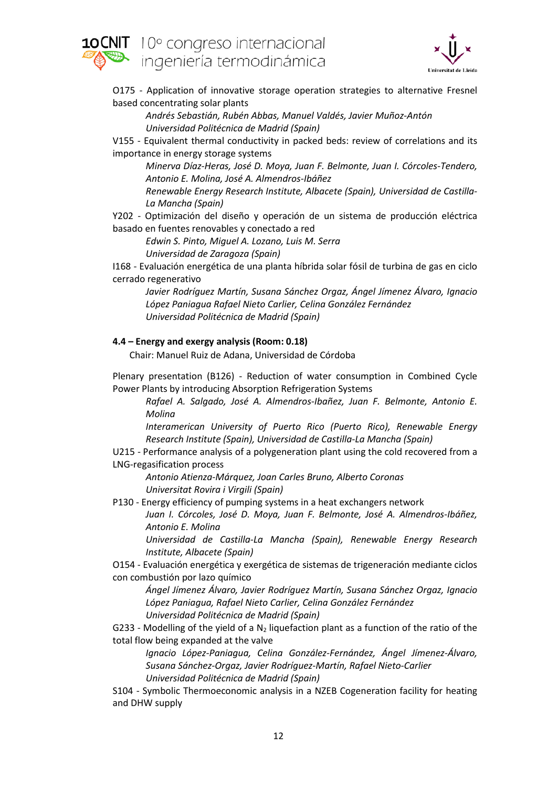



O175 - Application of innovative storage operation strategies to alternative Fresnel based concentrating solar plants

*Andrés Sebastián, Rubén Abbas, Manuel Valdés, Javier Muñoz-Antón Universidad Politécnica de Madrid (Spain)*

V155 - Equivalent thermal conductivity in packed beds: review of correlations and its importance in energy storage systems

*Minerva Díaz-Heras, José D. Moya, Juan F. Belmonte, Juan I. Córcoles-Tendero, Antonio E. Molina, José A. Almendros-Ibáñez*

*Renewable Energy Research Institute, Albacete (Spain), Universidad de Castilla-La Mancha (Spain)*

Y202 - Optimización del diseño y operación de un sistema de producción eléctrica basado en fuentes renovables y conectado a red

*Edwin S. Pinto, Miguel A. Lozano, Luis M. Serra Universidad de Zaragoza (Spain)*

I168 - Evaluación energética de una planta híbrida solar fósil de turbina de gas en ciclo cerrado regenerativo

*Javier Rodríguez Martín, Susana Sánchez Orgaz, Ángel Jímenez Álvaro, Ignacio López Paniagua Rafael Nieto Carlier, Celina González Fernández Universidad Politécnica de Madrid (Spain)*

# **4.4 – Energy and exergy analysis (Room: 0.18)**

Chair: Manuel Ruiz de Adana, Universidad de Córdoba

Plenary presentation (B126) - Reduction of water consumption in Combined Cycle Power Plants by introducing Absorption Refrigeration Systems

*Rafael A. Salgado, José A. Almendros-Ibañez, Juan F. Belmonte, Antonio E. Molina*

*Interamerican University of Puerto Rico (Puerto Rico), Renewable Energy Research Institute (Spain), Universidad de Castilla-La Mancha (Spain)*

U215 - Performance analysis of a polygeneration plant using the cold recovered from a LNG-regasification process

*Antonio Atienza-Márquez, Joan Carles Bruno, Alberto Coronas Universitat Rovira i Virgili (Spain)*

P130 - Energy efficiency of pumping systems in a heat exchangers network

*Juan I. Córcoles, José D. Moya, Juan F. Belmonte, José A. Almendros-Ibáñez, Antonio E. Molina*

*Universidad de Castilla-La Mancha (Spain), Renewable Energy Research Institute, Albacete (Spain)*

O154 - Evaluación energética y exergética de sistemas de trigeneración mediante ciclos con combustión por lazo químico

*Ángel Jímenez Álvaro, Javier Rodríguez Martín, Susana Sánchez Orgaz, Ignacio López Paniagua, Rafael Nieto Carlier, Celina González Fernández Universidad Politécnica de Madrid (Spain)*

G233 - Modelling of the yield of a  $N_2$  liquefaction plant as a function of the ratio of the total flow being expanded at the valve

*Ignacio López-Paniagua, Celina González-Fernández, Ángel Jímenez-Álvaro, Susana Sánchez-Orgaz, Javier Rodríguez-Martín, Rafael Nieto-Carlier Universidad Politécnica de Madrid (Spain)*

S104 - Symbolic Thermoeconomic analysis in a NZEB Cogeneration facility for heating and DHW supply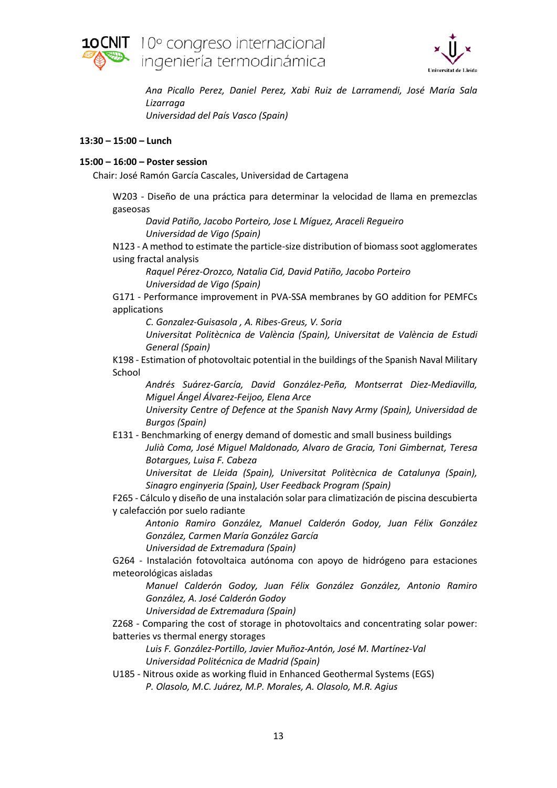

**NIT** 10° congreso internacional ingeniería termodinámica



*Ana Picallo Perez, Daniel Perez, Xabi Ruiz de Larramendi, José María Sala Lizarraga Universidad del País Vasco (Spain)*

### **13:30 – 15:00 – Lunch**

### **15:00 – 16:00 – Poster session**

Chair: José Ramón García Cascales, Universidad de Cartagena

W203 - Diseño de una práctica para determinar la velocidad de llama en premezclas gaseosas

*David Patiño, Jacobo Porteiro, Jose L Míguez, Araceli Regueiro Universidad de Vigo (Spain)*

N123 - A method to estimate the particle-size distribution of biomass soot agglomerates using fractal analysis

*Raquel Pérez-Orozco, Natalia Cid, David Patiño, Jacobo Porteiro Universidad de Vigo (Spain)*

G171 - Performance improvement in PVA-SSA membranes by GO addition for PEMFCs applications

*C. Gonzalez-Guisasola , A. Ribes-Greus, V. Soria*

*Universitat Politècnica de València (Spain), Universitat de València de Estudi General (Spain)*

K198 - Estimation of photovoltaic potential in the buildings of the Spanish Naval Military School

*Andrés Suárez-García, David González-Peña, Montserrat Diez-Mediavilla, Miguel Ángel Álvarez-Feijoo, Elena Arce*

*University Centre of Defence at the Spanish Navy Army (Spain), Universidad de Burgos (Spain)*

E131 - Benchmarking of energy demand of domestic and small business buildings *Julià Coma, José Miguel Maldonado, Alvaro de Gracia, Toni Gimbernat, Teresa Botargues, Luisa F. Cabeza*

*Universitat de Lleida (Spain), Universitat Politècnica de Catalunya (Spain), Sinagro enginyeria (Spain), User Feedback Program (Spain)*

F265 - Cálculo y diseño de una instalación solar para climatización de piscina descubierta y calefacción por suelo radiante

*Antonio Ramiro González, Manuel Calderón Godoy, Juan Félix González González, Carmen María González García*

*Universidad de Extremadura (Spain)*

G264 - Instalación fotovoltaica autónoma con apoyo de hidrógeno para estaciones meteorológicas aisladas

*Manuel Calderón Godoy, Juan Félix González González, Antonio Ramiro González, A. José Calderón Godoy*

*Universidad de Extremadura (Spain)*

Z268 - Comparing the cost of storage in photovoltaics and concentrating solar power: batteries vs thermal energy storages

*Luis F. González-Portillo, Javier Muñoz-Antón, José M. Martínez-Val Universidad Politécnica de Madrid (Spain)*

U185 - Nitrous oxide as working fluid in Enhanced Geothermal Systems (EGS) *P. Olasolo, M.C. Juárez, M.P. Morales, A. Olasolo, M.R. Agius*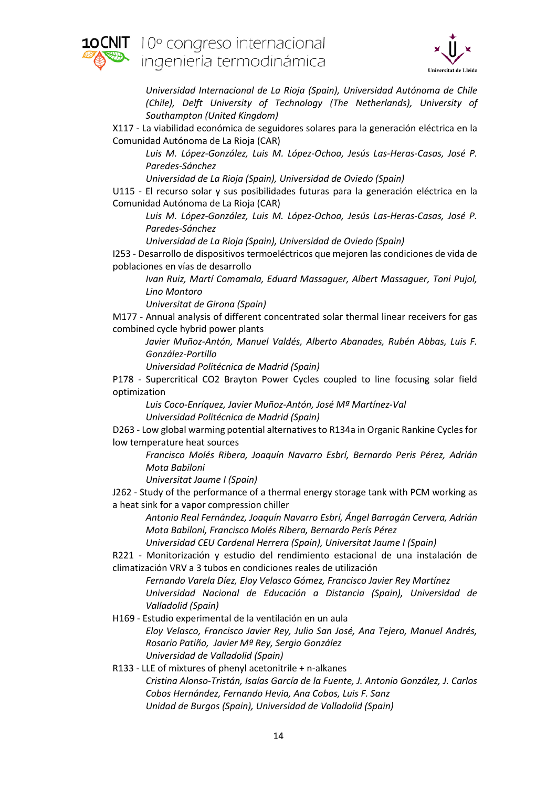



*Universidad Internacional de La Rioja (Spain), Universidad Autónoma de Chile (Chile), Delft University of Technology (The Netherlands), University of Southampton (United Kingdom)*

X117 - La viabilidad económica de seguidores solares para la generación eléctrica en la Comunidad Autónoma de La Rioja (CAR)

*Luis M. López-González, Luis M. López-Ochoa, Jesús Las-Heras-Casas, José P. Paredes-Sánchez*

*Universidad de La Rioja (Spain), Universidad de Oviedo (Spain)*

U115 - El recurso solar y sus posibilidades futuras para la generación eléctrica en la Comunidad Autónoma de La Rioja (CAR)

*Luis M. López-González, Luis M. López-Ochoa, Jesús Las-Heras-Casas, José P. Paredes-Sánchez*

*Universidad de La Rioja (Spain), Universidad de Oviedo (Spain)*

I253 - Desarrollo de dispositivos termoeléctricos que mejoren las condiciones de vida de poblaciones en vías de desarrollo

*Ivan Ruiz, Martí Comamala, Eduard Massaguer, Albert Massaguer, Toni Pujol, Lino Montoro*

*Universitat de Girona (Spain)*

M177 - Annual analysis of different concentrated solar thermal linear receivers for gas combined cycle hybrid power plants

*Javier Muñoz-Antón, Manuel Valdés, Alberto Abanades, Rubén Abbas, Luis F. González-Portillo*

*Universidad Politécnica de Madrid (Spain)*

P178 - Supercritical CO2 Brayton Power Cycles coupled to line focusing solar field optimization

*Luis Coco-Enríquez, Javier Muñoz-Antón, José Mª Martínez-Val Universidad Politécnica de Madrid (Spain)*

D263 - Low global warming potential alternatives to R134a in Organic Rankine Cycles for low temperature heat sources

*Francisco Molés Ribera, Joaquín Navarro Esbrí, Bernardo Peris Pérez, Adrián Mota Babiloni*

*Universitat Jaume I (Spain)*

J262 - Study of the performance of a thermal energy storage tank with PCM working as a heat sink for a vapor compression chiller

*Antonio Real Fernández, Joaquín Navarro Esbrí, Ángel Barragán Cervera, Adrián Mota Babiloni, Francisco Molés Ribera, Bernardo Perís Pérez*

*Universidad CEU Cardenal Herrera (Spain), Universitat Jaume I (Spain)*

R221 - Monitorización y estudio del rendimiento estacional de una instalación de climatización VRV a 3 tubos en condiciones reales de utilización

*Fernando Varela Díez, Eloy Velasco Gómez, Francisco Javier Rey Martínez Universidad Nacional de Educación a Distancia (Spain), Universidad de Valladolid (Spain)*

- H169 Estudio experimental de la ventilación en un aula *Eloy Velasco, Francisco Javier Rey, Julio San José, Ana Tejero, Manuel Andrés, Rosario Patiño, Javier Mª Rey, Sergio González Universidad de Valladolid (Spain)*
- R133 LLE of mixtures of phenyl acetonitrile + n-alkanes *Cristina Alonso-Tristán, Isaías García de la Fuente, J. Antonio González, J. Carlos Cobos Hernández, Fernando Hevia, Ana Cobos, Luis F. Sanz Unidad de Burgos (Spain), Universidad de Valladolid (Spain)*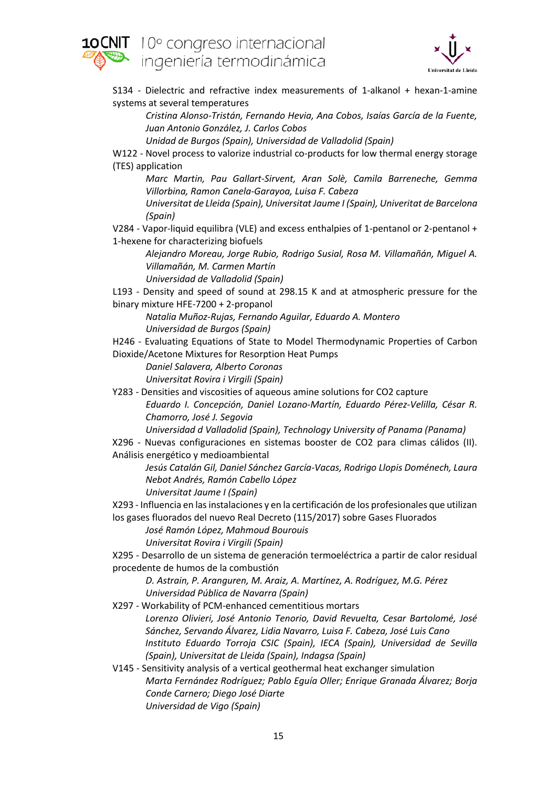



S134 - Dielectric and refractive index measurements of 1-alkanol + hexan-1-amine systems at several temperatures

*Cristina Alonso-Tristán, Fernando Hevia, Ana Cobos, Isaías García de la Fuente, Juan Antonio González, J. Carlos Cobos*

*Unidad de Burgos (Spain), Universidad de Valladolid (Spain)*

W122 - Novel process to valorize industrial co-products for low thermal energy storage (TES) application

*Marc Martin, Pau Gallart-Sirvent, Aran Solè, Camila Barreneche, Gemma Villorbina, Ramon Canela-Garayoa, Luisa F. Cabeza*

*Universitat de Lleida (Spain), Universitat Jaume I (Spain), Univeritat de Barcelona (Spain)*

V284 - Vapor-liquid equilibra (VLE) and excess enthalpies of 1-pentanol or 2-pentanol + 1-hexene for characterizing biofuels

*Alejandro Moreau, Jorge Rubio, Rodrigo Susial, Rosa M. Villamañán, Miguel A. Villamañán, M. Carmen Martín*

*Universidad de Valladolid (Spain)*

L193 - Density and speed of sound at 298.15 K and at atmospheric pressure for the binary mixture HFE-7200 + 2-propanol

*Natalia Muñoz-Rujas, Fernando Aguilar, Eduardo A. Montero Universidad de Burgos (Spain)*

H246 - Evaluating Equations of State to Model Thermodynamic Properties of Carbon Dioxide/Acetone Mixtures for Resorption Heat Pumps

*Daniel Salavera, Alberto Coronas*

*Universitat Rovira i Virgili (Spain)*

Y283 - Densities and viscosities of aqueous amine solutions for CO2 capture

*Eduardo I. Concepción, Daniel Lozano-Martín, Eduardo Pérez-Velilla, César R. Chamorro, José J. Segovia*

*Universidad d Valladolid (Spain), Technology University of Panama (Panama)*

X296 - Nuevas configuraciones en sistemas booster de CO2 para climas cálidos (II). Análisis energético y medioambiental

*Jesús Catalán Gil, Daniel Sánchez García-Vacas, Rodrigo Llopis Doménech, Laura Nebot Andrés, Ramón Cabello López*

*Universitat Jaume I (Spain)*

X293 - Influencia en las instalaciones y en la certificación de los profesionales que utilizan los gases fluorados del nuevo Real Decreto (115/2017) sobre Gases Fluorados

*José Ramón López, Mahmoud Bourouis*

*Universitat Rovira i Virgili (Spain)*

X295 - Desarrollo de un sistema de generación termoeléctrica a partir de calor residual procedente de humos de la combustión

*D. Astrain, P. Aranguren, M. Araiz, A. Martínez, A. Rodríguez, M.G. Pérez Universidad Pública de Navarra (Spain)*

X297 - Workability of PCM-enhanced cementitious mortars

*Lorenzo Olivieri, José Antonio Tenorio, David Revuelta, Cesar Bartolomé, José Sánchez, Servando Álvarez, Lidia Navarro, Luisa F. Cabeza, José Luis Cano Instituto Eduardo Torroja CSIC (Spain), IECA (Spain), Universidad de Sevilla (Spain), Universitat de Lleida (Spain), Indagsa (Spain)*

V145 - Sensitivity analysis of a vertical geothermal heat exchanger simulation *Marta Fernández Rodríguez; Pablo Eguía Oller; Enrique Granada Álvarez; Borja Conde Carnero; Diego José Diarte Universidad de Vigo (Spain)*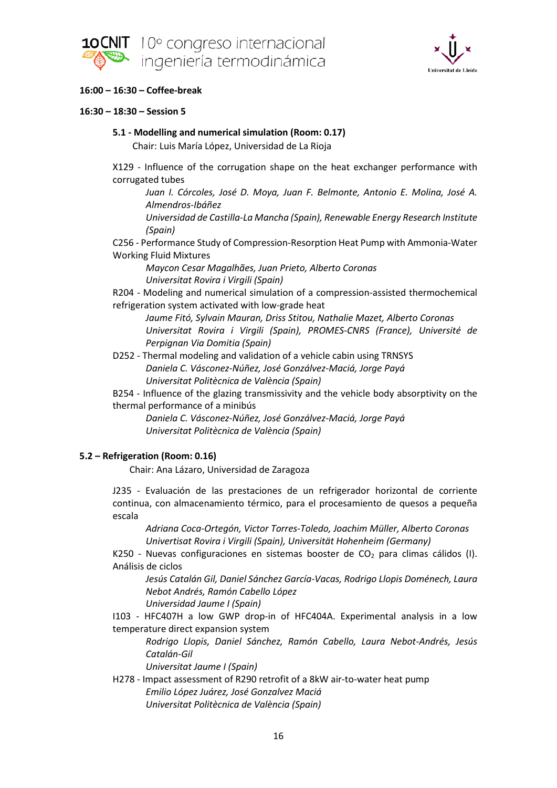



## **16:00 – 16:30 – Coffee-break**

### **16:30 – 18:30 – Session 5**

### **5.1 - Modelling and numerical simulation (Room: 0.17)**

Chair: Luis María López, Universidad de La Rioja

X129 - Influence of the corrugation shape on the heat exchanger performance with corrugated tubes

*Juan I. Córcoles, José D. Moya, Juan F. Belmonte, Antonio E. Molina, José A. Almendros-Ibáñez*

*Universidad de Castilla-La Mancha (Spain), Renewable Energy Research Institute (Spain)*

C256 - Performance Study of Compression-Resorption Heat Pump with Ammonia-Water Working Fluid Mixtures

*Maycon Cesar Magalhães, Juan Prieto, Alberto Coronas Universitat Rovira i Virgili (Spain)*

R204 - Modeling and numerical simulation of a compression-assisted thermochemical refrigeration system activated with low-grade heat

*Jaume Fitó, Sylvain Mauran, Driss Stitou, Nathalie Mazet, Alberto Coronas Universitat Rovira i Virgili (Spain), PROMES-CNRS (France), Université de Perpignan Via Domitia (Spain)*

D252 - Thermal modeling and validation of a vehicle cabin using TRNSYS *Daniela C. Vásconez-Núñez, José Gonzálvez-Maciá, Jorge Payá Universitat Politècnica de València (Spain)*

B254 - Influence of the glazing transmissivity and the vehicle body absorptivity on the thermal performance of a minibús

*Daniela C. Vásconez-Núñez, José Gonzálvez-Maciá, Jorge Payá Universitat Politècnica de València (Spain)*

### **5.2 – Refrigeration (Room: 0.16)**

Chair: Ana Lázaro, Universidad de Zaragoza

J235 - Evaluación de las prestaciones de un refrigerador horizontal de corriente continua, con almacenamiento térmico, para el procesamiento de quesos a pequeña escala

*Adriana Coca-Ortegón, Victor Torres-Toledo, Joachim Müller, Alberto Coronas Univertisat Rovira i Virgili (Spain), Universität Hohenheim (Germany)*

K250 - Nuevas configuraciones en sistemas booster de CO<sub>2</sub> para climas cálidos (I). Análisis de ciclos

*Jesús Catalán Gil, Daniel Sánchez García-Vacas, Rodrigo Llopis Doménech, Laura Nebot Andrés, Ramón Cabello López*

*Universidad Jaume I (Spain)*

I103 - HFC407H a low GWP drop-in of HFC404A. Experimental analysis in a low temperature direct expansion system

*Rodrigo Llopis, Daniel Sánchez, Ramón Cabello, Laura Nebot-Andrés, Jesús Catalán-Gil*

*Universitat Jaume I (Spain)*

H278 - Impact assessment of R290 retrofit of a 8kW air-to-water heat pump *Emilio López Juárez, José Gonzalvez Maciá Universitat Politècnica de València (Spain)*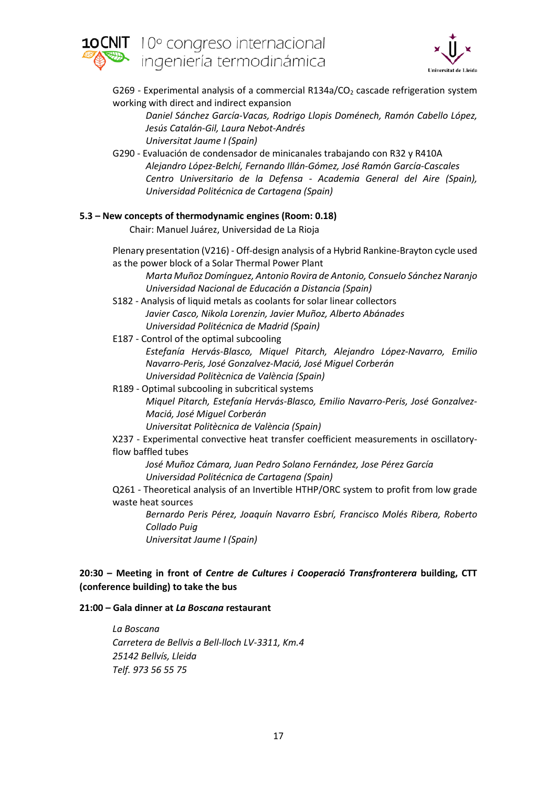



G269 - Experimental analysis of a commercial R134a/CO<sub>2</sub> cascade refrigeration system working with direct and indirect expansion

*Daniel Sánchez García-Vacas, Rodrigo Llopis Doménech, Ramón Cabello López, Jesús Catalán-Gil, Laura Nebot-Andrés Universitat Jaume I (Spain)*

G290 - Evaluación de condensador de minicanales trabajando con R32 y R410A *Alejandro López-Belchí, Fernando Illán-Gómez, José Ramón García-Cascales Centro Universitario de la Defensa - Academia General del Aire (Spain), Universidad Politécnica de Cartagena (Spain)*

### **5.3 – New concepts of thermodynamic engines (Room: 0.18)**

Chair: Manuel Juárez, Universidad de La Rioja

Plenary presentation (V216) - Off-design analysis of a Hybrid Rankine-Brayton cycle used as the power block of a Solar Thermal Power Plant

*Marta Muñoz Domínguez, Antonio Rovira de Antonio, Consuelo Sánchez Naranjo Universidad Nacional de Educación a Distancia (Spain)*

- S182 Analysis of liquid metals as coolants for solar linear collectors *Javier Casco, Nikola Lorenzin, Javier Muñoz, Alberto Abánades Universidad Politécnica de Madrid (Spain)*
- E187 Control of the optimal subcooling *Estefanía Hervás-Blasco, Miquel Pitarch, Alejandro López-Navarro, Emilio Navarro-Peris, José Gonzalvez-Maciá, José Miguel Corberán Universidad Politècnica de València (Spain)*

R189 - Optimal subcooling in subcritical systems *Miquel Pitarch, Estefanía Hervás-Blasco, Emilio Navarro-Peris, José Gonzalvez-Maciá, José Miguel Corberán Universitat Politècnica de València (Spain)*

X237 - Experimental convective heat transfer coefficient measurements in oscillatoryflow baffled tubes

*José Muñoz Cámara, Juan Pedro Solano Fernández, Jose Pérez García Universidad Politécnica de Cartagena (Spain)*

Q261 - Theoretical analysis of an Invertible HTHP/ORC system to profit from low grade waste heat sources

*Bernardo Peris Pérez, Joaquín Navarro Esbrí, Francisco Molés Ribera, Roberto Collado Puig*

*Universitat Jaume I (Spain)*

## **20:30 – Meeting in front of** *Centre de Cultures i Cooperació Transfronterera* **building, CTT (conference building) to take the bus**

### **21:00 – Gala dinner at** *La Boscana* **restaurant**

*La Boscana Carretera de Bellvis a Bell-lloch LV-3311, Km.4 25142 Bellvís, Lleida Telf. 973 56 55 75*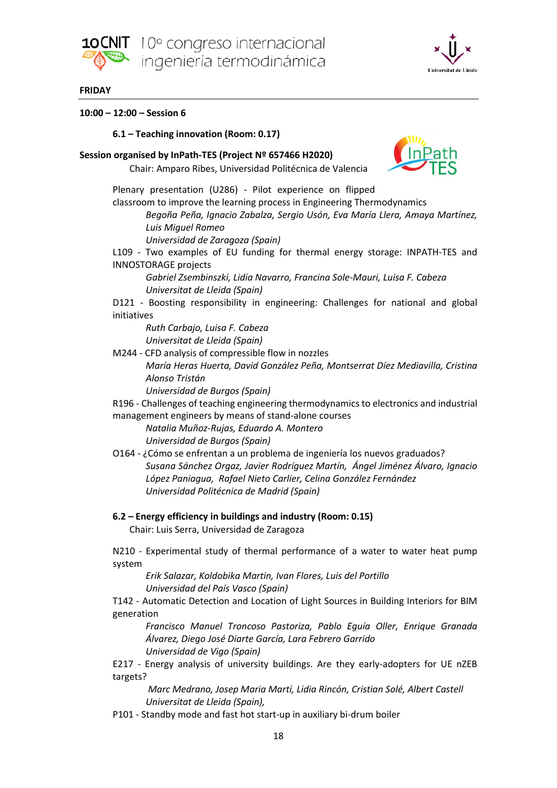



### **FRIDAY**

### **10:00 – 12:00 – Session 6**

### **6.1 – Teaching innovation (Room: 0.17)**

### **Session organised by InPath-TES (Project Nº 657466 H2020)**

Chair: Amparo Ribes, Universidad Politécnica de Valencia



Plenary presentation (U286) - Pilot experience on flipped classroom to improve the learning process in Engineering Thermodynamics

*Begoña Peña, Ignacio Zabalza, Sergio Usón, Eva María Llera, Amaya Martínez, Luis Miguel Romeo*

*Universidad de Zaragoza (Spain)*

L109 - Two examples of EU funding for thermal energy storage: INPATH-TES and INNOSTORAGE projects

*Gabriel Zsembinszki, Lidia Navarro, Francina Sole-Mauri, Luisa F. Cabeza Universitat de Lleida (Spain)*

D121 - Boosting responsibility in engineering: Challenges for national and global initiatives

*Ruth Carbajo, Luisa F. Cabeza Universitat de Lleida (Spain)*

M244 - CFD analysis of compressible flow in nozzles

*María Heras Huerta, David González Peña, Montserrat Díez Mediavilla, Cristina Alonso Tristán*

*Universidad de Burgos (Spain)*

R196 - Challenges of teaching engineering thermodynamics to electronics and industrial management engineers by means of stand-alone courses

*Natalia Muñoz-Rujas, Eduardo A. Montero Universidad de Burgos (Spain)*

O164 - ¿Cómo se enfrentan a un problema de ingeniería los nuevos graduados? *Susana Sánchez Orgaz, Javier Rodríguez Martín, Ángel Jiménez Álvaro, Ignacio López Paniagua, Rafael Nieto Carlier, Celina González Fernández Universidad Politécnica de Madrid (Spain)*

**6.2 – Energy efficiency in buildings and industry (Room: 0.15)**

Chair: Luis Serra, Universidad de Zaragoza

N210 - Experimental study of thermal performance of a water to water heat pump system

*Erik Salazar, Koldobika Martin, Ivan Flores, Luis del Portillo Universidad del País Vasco (Spain)*

T142 - Automatic Detection and Location of Light Sources in Building Interiors for BIM generation

*Francisco Manuel Troncoso Pastoriza, Pablo Eguía Oller, Enrique Granada Álvarez, Diego José Diarte García, Lara Febrero Garrido Universidad de Vigo (Spain)*

E217 - Energy analysis of university buildings. Are they early-adopters for UE nZEB targets?

*Marc Medrano, Josep Maria Martí, Lidia Rincón, Cristian Solé, Albert Castell Universitat de Lleida (Spain),* 

P101 - Standby mode and fast hot start-up in auxiliary bi-drum boiler